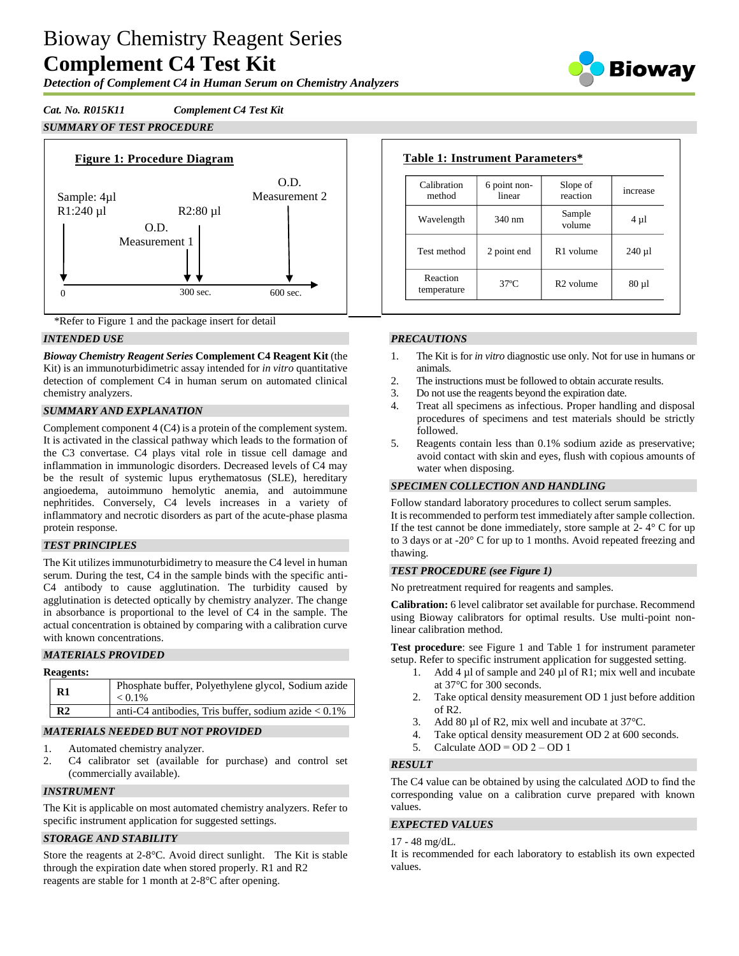# Bioway Chemistry Reagent Series **Complement C4 Test Kit**

*Detection of Complement C4 in Human Serum on Chemistry Analyzers*

*Cat. No. R015K11 Complement C4 Test Kit SUMMARY OF TEST PROCEDURE*



\*Refer to Figure 1 and the package insert for detail

# *INTENDED USE*

*Bioway Chemistry Reagent Series* **Complement C4 Reagent Kit** (the Kit) is an immunoturbidimetric assay intended for *in vitro* quantitative detection of complement C4 in human serum on automated clinical chemistry analyzers.

# *SUMMARY AND EXPLANATION*

Complement component 4 (C4) is a protein of the complement system. It is activated in the classical pathway which leads to the formation of the C3 convertase. C4 plays vital role in tissue cell damage and inflammation in immunologic disorders. Decreased levels of C4 may be the result of systemic lupus erythematosus (SLE), hereditary angioedema, autoimmuno hemolytic anemia, and autoimmune nephritides. Conversely, C4 levels increases in a variety of inflammatory and necrotic disorders as part of the acute-phase plasma protein response.

# *TEST PRINCIPLES*

The Kit utilizes immunoturbidimetry to measure the C4 level in human serum. During the test, C4 in the sample binds with the specific anti-C4 antibody to cause agglutination. The turbidity caused by agglutination is detected optically by chemistry analyzer. The change in absorbance is proportional to the level of C4 in the sample. The actual concentration is obtained by comparing with a calibration curve with known concentrations.

# *MATERIALS PROVIDED*

| Phosphate buffer, Polyethylene glycol, Sodium azide     |
|---------------------------------------------------------|
| anti-C4 antibodies, Tris buffer, sodium azide $< 0.1\%$ |
|                                                         |

# *MATERIALS NEEDED BUT NOT PROVIDED*

- 1. Automated chemistry analyzer.
- 2. C4 calibrator set (available for purchase) and control set (commercially available).

# *INSTRUMENT*

The Kit is applicable on most automated chemistry analyzers. Refer to specific instrument application for suggested settings.

# *STORAGE AND STABILITY*

Store the reagents at 2-8°C. Avoid direct sunlight. The Kit is stable through the expiration date when stored properly. R1 and R2 reagents are stable for 1 month at 2-8°C after opening.

| Calibration<br>method   | 6 point non-<br>linear | Slope of<br>reaction  | increase   |
|-------------------------|------------------------|-----------------------|------------|
| Wavelength              | $340 \text{ nm}$       | Sample<br>volume      | $4 \mu l$  |
| Test method             | 2 point end            | R1 volume             | $240 \mu$  |
| Reaction<br>temperature | $37^\circ$ C           | R <sub>2</sub> volume | $80 \mu l$ |

# *PRECAUTIONS*

- 1. The Kit is for *in vitro* diagnostic use only. Not for use in humans or animals.
- 2. The instructions must be followed to obtain accurate results.
- 3. Do not use the reagents beyond the expiration date.
- 4. Treat all specimens as infectious. Proper handling and disposal procedures of specimens and test materials should be strictly followed.
- 5. Reagents contain less than 0.1% sodium azide as preservative; avoid contact with skin and eyes, flush with copious amounts of water when disposing.

# *SPECIMEN COLLECTION AND HANDLING*

Follow standard laboratory procedures to collect serum samples. It is recommended to perform test immediately after sample collection. If the test cannot be done immediately, store sample at  $2 - 4^\circ$  C for up to 3 days or at -20° C for up to 1 months. Avoid repeated freezing and thawing.

#### *TEST PROCEDURE (see Figure 1)*

No pretreatment required for reagents and samples.

**Calibration:** 6 level calibrator set available for purchase. Recommend using Bioway calibrators for optimal results. Use multi-point nonlinear calibration method.

**Test procedure**: see Figure 1 and Table 1 for instrument parameter setup. Refer to specific instrument application for suggested setting.

- Add 4  $\mu$ l of sample and 240  $\mu$ l of R1; mix well and incubate at 37°C for 300 seconds.
- 2. Take optical density measurement OD 1 just before addition of R2.
- 3. Add 80  $\mu$ l of R2, mix well and incubate at 37 °C.
- 4. Take optical density measurement OD 2 at 600 seconds.
- 5. Calculate  $\triangle$ OD = OD 2 OD 1

# *RESULT*

The C4 value can be obtained by using the calculated ΔOD to find the corresponding value on a calibration curve prepared with known values.

# *EXPECTED VALUES*

#### 17 - 48 mg/dL.

It is recommended for each laboratory to establish its own expected values.